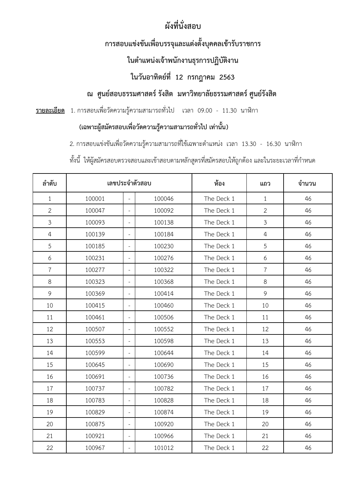# **ผังที่นั่งสอบ**

# **กำรสอบแขง่ ขนัเพื่อบรรจุและแตง่ ตั้งบคุ คลเขำ้รับรำชกำร**

### **ในต ำแหน่งเจ้ำพนักงำนธุรกำรปฏิบตังิำน**

### **ในวันอำทิตย์ที่ 12 กรกฎำคม 2563**

### **ณ ศูนย์สอบธรรมศำสตร์รังสิต มหำวิทยำลัยธรรมศำสตร์ศูนย์รังสิต**

#### ี<u>รายละเอียด</u> 1. การสอบเพื่อวัดความรู้ความสามารถทั่วไป เวลา 09.00 - 11.30 นาฬิกา

#### **(เฉพำะผู้สมคัรสอบเพื่อวัดควำมรู้ควำมสำมำรถทวั่ ไป เท่ำนนั้ )**

2. การสอบแข่งขันเพื่อวัดความรู้ความสามารถที่ใช้เฉพาะตำแหน่ง เวลา 13.30 - 16.30 นาฬิกา

ทั้งนี้ ให้ผู้สมัครสอบตรวจสอบและเข้าสอบตามหลักสูตรที่สมัครสอบให้ถูกต้อง และในระยะเวลาที่กำหนด

| ลำดับ          |        |                          | เลขประจำตัวสอบ | ท้อง       | จำนวน          |    |
|----------------|--------|--------------------------|----------------|------------|----------------|----|
| $\mathbf{1}$   | 100001 | $\omega$                 | 100046         | The Deck 1 | $\mathbf{1}$   | 46 |
| $\overline{2}$ | 100047 | $\bar{a}$                | 100092         | The Deck 1 | $\overline{2}$ | 46 |
| 3              | 100093 | $\equiv$                 | 100138         | The Deck 1 | $\mathfrak{Z}$ | 46 |
| $\overline{4}$ | 100139 | $\overline{\phantom{a}}$ | 100184         | The Deck 1 | $\overline{4}$ | 46 |
| 5              | 100185 | $\overline{\phantom{a}}$ | 100230         | The Deck 1 | 5              | 46 |
| 6              | 100231 | $\equiv$                 | 100276         | The Deck 1 | 6              | 46 |
| $\overline{7}$ | 100277 | $\overline{\phantom{a}}$ | 100322         | The Deck 1 | $\overline{7}$ | 46 |
| 8              | 100323 | $\overline{\phantom{a}}$ | 100368         | The Deck 1 | 8              | 46 |
| 9              | 100369 | $\overline{\phantom{a}}$ | 100414         | The Deck 1 | 9              | 46 |
| 10             | 100415 | $\overline{\phantom{a}}$ | 100460         | The Deck 1 | 10             | 46 |
| 11             | 100461 | $\overline{\phantom{a}}$ | 100506         | The Deck 1 | 11             | 46 |
| 12             | 100507 | $\overline{\phantom{a}}$ | 100552         | The Deck 1 | 12             | 46 |
| 13             | 100553 | $\equiv$                 | 100598         | The Deck 1 | 13             | 46 |
| 14             | 100599 | $\equiv$                 | 100644         | The Deck 1 | 14             | 46 |
| 15             | 100645 | $\equiv$                 | 100690         | The Deck 1 | 15             | 46 |
| 16             | 100691 | $\overline{\phantom{a}}$ | 100736         | The Deck 1 | 16             | 46 |
| 17             | 100737 | $\overline{\phantom{a}}$ | 100782         | The Deck 1 | 17             | 46 |
| 18             | 100783 | $\overline{\phantom{a}}$ | 100828         | The Deck 1 | 18             | 46 |
| 19             | 100829 | $\equiv$                 | 100874         | The Deck 1 | 19             | 46 |
| 20             | 100875 | $\overline{\phantom{a}}$ | 100920         | The Deck 1 | 20             | 46 |
| 21             | 100921 | $\equiv$                 | 100966         | The Deck 1 | 21             | 46 |
| 22             | 100967 | $\overline{\phantom{a}}$ | 101012         | The Deck 1 | 22             | 46 |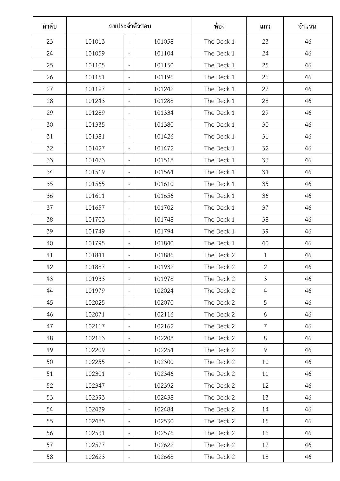| ลำดับ | เลขประจำตัวสอบ |                          |        | ห้อง       | แถว            | จำนวน |
|-------|----------------|--------------------------|--------|------------|----------------|-------|
| 23    | 101013         | $\equiv$                 | 101058 | The Deck 1 | 23             | 46    |
| 24    | 101059         | $\overline{\phantom{a}}$ | 101104 | The Deck 1 | 24             | 46    |
| 25    | 101105         | $\overline{\phantom{a}}$ | 101150 | The Deck 1 | 25             | 46    |
| 26    | 101151         | $\overline{\phantom{a}}$ | 101196 | The Deck 1 | 26             | 46    |
| 27    | 101197         | $\overline{\phantom{a}}$ | 101242 | The Deck 1 | 27             | 46    |
| 28    | 101243         | $\overline{\phantom{a}}$ | 101288 | The Deck 1 | 28             | 46    |
| 29    | 101289         | $\overline{\phantom{a}}$ | 101334 | The Deck 1 | 29             | 46    |
| 30    | 101335         | $\sim$                   | 101380 | The Deck 1 | 30             | 46    |
| 31    | 101381         | $\overline{\phantom{a}}$ | 101426 | The Deck 1 | 31             | 46    |
| 32    | 101427         | $\overline{\phantom{a}}$ | 101472 | The Deck 1 | 32             | 46    |
| 33    | 101473         | $\overline{\phantom{a}}$ | 101518 | The Deck 1 | 33             | 46    |
| 34    | 101519         | $\overline{\phantom{a}}$ | 101564 | The Deck 1 | 34             | 46    |
| 35    | 101565         | $\overline{\phantom{a}}$ | 101610 | The Deck 1 | 35             | 46    |
| 36    | 101611         | $\overline{\phantom{a}}$ | 101656 | The Deck 1 | 36             | 46    |
| 37    | 101657         | $\overline{\phantom{a}}$ | 101702 | The Deck 1 | 37             | 46    |
| 38    | 101703         | $\overline{\phantom{a}}$ | 101748 | The Deck 1 | 38             | 46    |
| 39    | 101749         | $\overline{\phantom{a}}$ | 101794 | The Deck 1 | 39             | 46    |
| 40    | 101795         | $\overline{\phantom{a}}$ | 101840 | The Deck 1 | 40             | 46    |
| 41    | 101841         | $\overline{\phantom{a}}$ | 101886 | The Deck 2 | $\mathbf{1}$   | 46    |
| 42    | 101887         | $\overline{\phantom{a}}$ | 101932 | The Deck 2 | $\mathbf{2}$   | 46    |
| 43    | 101933         | $\overline{\phantom{a}}$ | 101978 | The Deck 2 | $\mathfrak{Z}$ | 46    |
| 44    | 101979         | $\overline{\phantom{a}}$ | 102024 | The Deck 2 | $\overline{4}$ | 46    |
| 45    | 102025         | $\overline{\phantom{a}}$ | 102070 | The Deck 2 | 5              | 46    |
| 46    | 102071         | $\overline{\phantom{a}}$ | 102116 | The Deck 2 | 6              | 46    |
| 47    | 102117         | $\overline{\phantom{a}}$ | 102162 | The Deck 2 | $\overline{7}$ | 46    |
| 48    | 102163         | $\overline{\phantom{a}}$ | 102208 | The Deck 2 | 8              | 46    |
| 49    | 102209         | $\overline{\phantom{a}}$ | 102254 | The Deck 2 | 9              | 46    |
| 50    | 102255         | $\overline{\phantom{a}}$ | 102300 | The Deck 2 | 10             | 46    |
| 51    | 102301         | $\overline{\phantom{a}}$ | 102346 | The Deck 2 | 11             | 46    |
| 52    | 102347         | $\overline{\phantom{a}}$ | 102392 | The Deck 2 | 12             | 46    |
| 53    | 102393         | $\overline{\phantom{a}}$ | 102438 | The Deck 2 | 13             | 46    |
| 54    | 102439         | $\overline{\phantom{a}}$ | 102484 | The Deck 2 | 14             | 46    |
| 55    | 102485         | $\overline{\phantom{a}}$ | 102530 | The Deck 2 | 15             | 46    |
| 56    | 102531         | $\overline{\phantom{a}}$ | 102576 | The Deck 2 | 16             | 46    |
| 57    | 102577         | $\overline{\phantom{a}}$ | 102622 | The Deck 2 | 17             | 46    |
| 58    | 102623         | $\overline{\phantom{a}}$ | 102668 | The Deck 2 | 18             | 46    |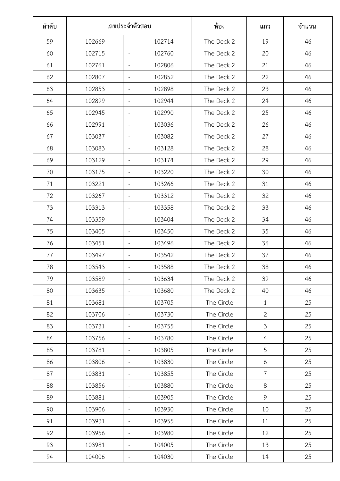| ลำดับ | เลขประจำตัวสอบ |                          |        | ห้อง       | แถว            | จำนวน |
|-------|----------------|--------------------------|--------|------------|----------------|-------|
| 59    | 102669         | $\equiv$                 | 102714 | The Deck 2 | 19             | 46    |
| 60    | 102715         | $\overline{\phantom{a}}$ | 102760 | The Deck 2 | 20             | 46    |
| 61    | 102761         | $\overline{\phantom{a}}$ | 102806 | The Deck 2 | 21             | 46    |
| 62    | 102807         | $\overline{\phantom{a}}$ | 102852 | The Deck 2 | 22             | 46    |
| 63    | 102853         | $\overline{\phantom{a}}$ | 102898 | The Deck 2 | 23             | 46    |
| 64    | 102899         | $\overline{\phantom{a}}$ | 102944 | The Deck 2 | 24             | 46    |
| 65    | 102945         | $\overline{\phantom{a}}$ | 102990 | The Deck 2 | 25             | 46    |
| 66    | 102991         | $\sim$                   | 103036 | The Deck 2 | 26             | 46    |
| 67    | 103037         | $\overline{\phantom{a}}$ | 103082 | The Deck 2 | 27             | 46    |
| 68    | 103083         | $\overline{\phantom{a}}$ | 103128 | The Deck 2 | 28             | 46    |
| 69    | 103129         | $\overline{\phantom{a}}$ | 103174 | The Deck 2 | 29             | 46    |
| 70    | 103175         | $\overline{\phantom{a}}$ | 103220 | The Deck 2 | 30             | 46    |
| 71    | 103221         | $\overline{\phantom{a}}$ | 103266 | The Deck 2 | 31             | 46    |
| 72    | 103267         | $\overline{\phantom{a}}$ | 103312 | The Deck 2 | 32             | 46    |
| 73    | 103313         | $\overline{\phantom{a}}$ | 103358 | The Deck 2 | 33             | 46    |
| 74    | 103359         | $\overline{\phantom{a}}$ | 103404 | The Deck 2 | 34             | 46    |
| 75    | 103405         | $\overline{\phantom{a}}$ | 103450 | The Deck 2 | 35             | 46    |
| 76    | 103451         | $\overline{\phantom{a}}$ | 103496 | The Deck 2 | 36             | 46    |
| 77    | 103497         | $\overline{\phantom{a}}$ | 103542 | The Deck 2 | 37             | 46    |
| 78    | 103543         | $\overline{\phantom{a}}$ | 103588 | The Deck 2 | 38             | 46    |
| 79    | 103589         | $\overline{\phantom{a}}$ | 103634 | The Deck 2 | 39             | 46    |
| 80    | 103635         | $\overline{\phantom{a}}$ | 103680 | The Deck 2 | 40             | 46    |
| 81    | 103681         | $\overline{\phantom{a}}$ | 103705 | The Circle | $\mathbf{1}$   | 25    |
| 82    | 103706         | $\overline{\phantom{a}}$ | 103730 | The Circle | $\overline{2}$ | 25    |
| 83    | 103731         | $\overline{\phantom{a}}$ | 103755 | The Circle | $\mathfrak{Z}$ | 25    |
| 84    | 103756         | $\overline{\phantom{a}}$ | 103780 | The Circle | $\overline{4}$ | 25    |
| 85    | 103781         | $\overline{\phantom{a}}$ | 103805 | The Circle | 5              | 25    |
| 86    | 103806         | $\overline{\phantom{a}}$ | 103830 | The Circle | 6              | 25    |
| 87    | 103831         | $\overline{\phantom{a}}$ | 103855 | The Circle | $\overline{7}$ | 25    |
| 88    | 103856         | $\overline{\phantom{a}}$ | 103880 | The Circle | 8              | 25    |
| 89    | 103881         | $\overline{\phantom{a}}$ | 103905 | The Circle | 9              | 25    |
| 90    | 103906         | $\overline{\phantom{a}}$ | 103930 | The Circle | 10             | 25    |
| 91    | 103931         | $\overline{\phantom{a}}$ | 103955 | The Circle | 11             | 25    |
| 92    | 103956         | $\overline{\phantom{a}}$ | 103980 | The Circle | 12             | 25    |
| 93    | 103981         | $\overline{\phantom{a}}$ | 104005 | The Circle | 13             | 25    |
| 94    | 104006         | $\overline{\phantom{a}}$ | 104030 | The Circle | 14             | 25    |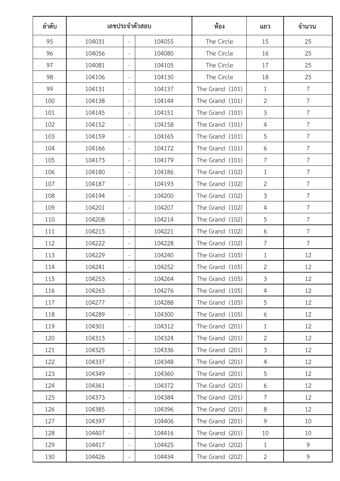| ลำดับ | เลขประจำตัวสอบ |                          |        | ท้อง            | แถว            | จำนวน          |
|-------|----------------|--------------------------|--------|-----------------|----------------|----------------|
| 95    | 104031         | $\equiv$                 | 104055 | The Circle      | 15             | 25             |
| 96    | 104056         | $\overline{\phantom{a}}$ | 104080 | The Circle      | 16             | 25             |
| 97    | 104081         | $\overline{\phantom{a}}$ | 104105 | The Circle      | 17             | 25             |
| 98    | 104106         | $\overline{\phantom{a}}$ | 104130 | The Circle      | 18             | 25             |
| 99    | 104131         | $\overline{\phantom{a}}$ | 104137 | The Grand (101) | $\mathbf{1}$   | $\overline{7}$ |
| 100   | 104138         | $\sim$                   | 104144 | The Grand (101) | $\overline{2}$ | $\overline{7}$ |
| 101   | 104145         | $\overline{\phantom{a}}$ | 104151 | The Grand (101) | $\mathfrak{Z}$ | $\overline{7}$ |
| 102   | 104152         | $\overline{\phantom{a}}$ | 104158 | The Grand (101) | $\overline{4}$ | $\overline{7}$ |
| 103   | 104159         | $\equiv$                 | 104165 | The Grand (101) | 5              | $\overline{7}$ |
| 104   | 104166         | $\overline{\phantom{a}}$ | 104172 | The Grand (101) | 6              | $\overline{7}$ |
| 105   | 104173         | $\equiv$                 | 104179 | The Grand (101) | $\overline{7}$ | $\overline{7}$ |
| 106   | 104180         | $\overline{\phantom{a}}$ | 104186 | The Grand (102) | $\mathbf{1}$   | $\overline{7}$ |
| 107   | 104187         | $\overline{\phantom{a}}$ | 104193 | The Grand (102) | $\overline{2}$ | $\overline{7}$ |
| 108   | 104194         | $\overline{\phantom{a}}$ | 104200 | The Grand (102) | $\mathfrak{Z}$ | $\overline{7}$ |
| 109   | 104201         | $\overline{\phantom{a}}$ | 104207 | The Grand (102) | $\overline{4}$ | $\overline{7}$ |
| 110   | 104208         | $\overline{\phantom{a}}$ | 104214 | The Grand (102) | 5              | $\overline{7}$ |
| 111   | 104215         | $\overline{\phantom{a}}$ | 104221 | The Grand (102) | 6              | 7              |
| 112   | 104222         | $\overline{\phantom{a}}$ | 104228 | The Grand (102) | $\overline{7}$ | $\overline{7}$ |
| 113   | 104229         | $\overline{\phantom{a}}$ | 104240 | The Grand (105) | $\mathbf{1}$   | 12             |
| 114   | 104241         | $\overline{\phantom{a}}$ | 104252 | The Grand (105) | $\mathbf{2}$   | 12             |
| 115   | 104253         | $\overline{\phantom{a}}$ | 104264 | The Grand (105) | $\mathfrak{Z}$ | 12             |
| 116   | 104265         | $\overline{\phantom{a}}$ | 104276 | The Grand (105) | $\overline{4}$ | 12             |
| 117   | 104277         | $\overline{\phantom{a}}$ | 104288 | The Grand (105) | 5              | 12             |
| 118   | 104289         | $\overline{\phantom{a}}$ | 104300 | The Grand (105) | 6              | 12             |
| 119   | 104301         | $\overline{\phantom{a}}$ | 104312 | The Grand (201) | $\mathbf{1}$   | 12             |
| 120   | 104313         | $\overline{\phantom{a}}$ | 104324 | The Grand (201) | $\overline{2}$ | 12             |
| 121   | 104325         | $\overline{\phantom{a}}$ | 104336 | The Grand (201) | $\mathfrak{Z}$ | 12             |
| 122   | 104337         | $\overline{\phantom{a}}$ | 104348 | The Grand (201) | $\overline{4}$ | 12             |
| 123   | 104349         | $\overline{\phantom{a}}$ | 104360 | The Grand (201) | 5              | 12             |
| 124   | 104361         | $\overline{\phantom{a}}$ | 104372 | The Grand (201) | 6              | 12             |
| 125   | 104373         | $\overline{\phantom{a}}$ | 104384 | The Grand (201) | $\overline{7}$ | 12             |
| 126   | 104385         | $\overline{\phantom{a}}$ | 104396 | The Grand (201) | 8              | 12             |
| 127   | 104397         | $\overline{\phantom{a}}$ | 104406 | The Grand (201) | 9              | 10             |
| 128   | 104407         | $\overline{\phantom{a}}$ | 104416 | The Grand (201) | 10             | 10             |
| 129   | 104417         | $\overline{\phantom{a}}$ | 104425 | The Grand (202) | $\mathbf{1}$   | 9              |
| 130   | 104426         | $\overline{\phantom{a}}$ | 104434 | The Grand (202) | $\overline{2}$ | 9              |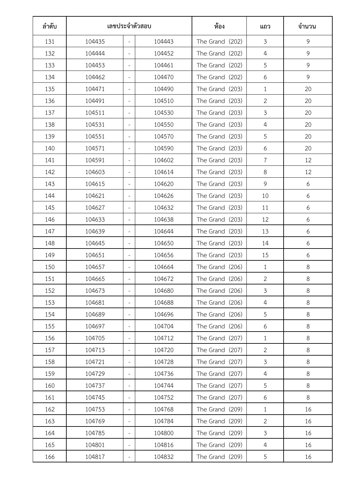| ลำดับ | เลขประจำตัวสอบ |                          |        | ท้อง            | แถว            | จำนวน |
|-------|----------------|--------------------------|--------|-----------------|----------------|-------|
| 131   | 104435         | $\equiv$                 | 104443 | The Grand (202) | $\mathfrak{Z}$ | 9     |
| 132   | 104444         | $\overline{\phantom{a}}$ | 104452 | The Grand (202) | $\overline{4}$ | 9     |
| 133   | 104453         | $\overline{\phantom{a}}$ | 104461 | The Grand (202) | 5              | 9     |
| 134   | 104462         | $\overline{\phantom{a}}$ | 104470 | The Grand (202) | 6              | 9     |
| 135   | 104471         | $\overline{\phantom{a}}$ | 104490 | The Grand (203) | $\mathbf{1}$   | 20    |
| 136   | 104491         | $\overline{\phantom{a}}$ | 104510 | The Grand (203) | $\overline{2}$ | 20    |
| 137   | 104511         | $\overline{\phantom{a}}$ | 104530 | The Grand (203) | $\mathfrak{Z}$ | 20    |
| 138   | 104531         | $\overline{\phantom{a}}$ | 104550 | The Grand (203) | $\overline{4}$ | 20    |
| 139   | 104551         | $\overline{\phantom{a}}$ | 104570 | The Grand (203) | 5              | 20    |
| 140   | 104571         | $\overline{\phantom{a}}$ | 104590 | The Grand (203) | 6              | 20    |
| 141   | 104591         | $\overline{\phantom{a}}$ | 104602 | The Grand (203) | $\overline{7}$ | 12    |
| 142   | 104603         | $\equiv$                 | 104614 | The Grand (203) | 8              | 12    |
| 143   | 104615         | $\overline{\phantom{a}}$ | 104620 | The Grand (203) | 9              | 6     |
| 144   | 104621         | $\overline{\phantom{a}}$ | 104626 | The Grand (203) | 10             | 6     |
| 145   | 104627         | $\overline{\phantom{a}}$ | 104632 | The Grand (203) | 11             | 6     |
| 146   | 104633         | $\overline{\phantom{a}}$ | 104638 | The Grand (203) | 12             | 6     |
| 147   | 104639         | $\overline{\phantom{a}}$ | 104644 | The Grand (203) | 13             | 6     |
| 148   | 104645         | $\bar{ }$                | 104650 | The Grand (203) | 14             | 6     |
| 149   | 104651         | $\overline{\phantom{a}}$ | 104656 | The Grand (203) | 15             | 6     |
| 150   | 104657         | $\overline{\phantom{a}}$ | 104664 | The Grand (206) | $\mathbf{1}$   | 8     |
| 151   | 104665         | $\overline{\phantom{a}}$ | 104672 | The Grand (206) | $\overline{2}$ | 8     |
| 152   | 104673         | $\overline{\phantom{a}}$ | 104680 | The Grand (206) | $\mathfrak{Z}$ | 8     |
| 153   | 104681         | $\overline{\phantom{a}}$ | 104688 | The Grand (206) | $\overline{4}$ | 8     |
| 154   | 104689         | $\overline{\phantom{a}}$ | 104696 | The Grand (206) | 5              | 8     |
| 155   | 104697         | $\overline{\phantom{a}}$ | 104704 | The Grand (206) | 6              | 8     |
| 156   | 104705         | $\overline{\phantom{a}}$ | 104712 | The Grand (207) | $\mathbf{1}$   | 8     |
| 157   | 104713         | $\overline{\phantom{a}}$ | 104720 | The Grand (207) | $\overline{2}$ | 8     |
| 158   | 104721         | $\overline{\phantom{a}}$ | 104728 | The Grand (207) | $\mathfrak{Z}$ | 8     |
| 159   | 104729         | $\overline{\phantom{a}}$ | 104736 | The Grand (207) | $\overline{4}$ | 8     |
| 160   | 104737         | $\overline{\phantom{a}}$ | 104744 | The Grand (207) | 5              | 8     |
| 161   | 104745         | $\overline{\phantom{a}}$ | 104752 | The Grand (207) | 6              | 8     |
| 162   | 104753         | $\overline{\phantom{a}}$ | 104768 | The Grand (209) | $\mathbf{1}$   | 16    |
| 163   | 104769         | $\qquad \qquad -$        | 104784 | The Grand (209) | $\overline{2}$ | 16    |
| 164   | 104785         | $\overline{\phantom{a}}$ | 104800 | The Grand (209) | $\mathfrak{Z}$ | 16    |
| 165   | 104801         | $\overline{\phantom{a}}$ | 104816 | The Grand (209) | $\overline{4}$ | 16    |
| 166   | 104817         | $\overline{\phantom{a}}$ | 104832 | The Grand (209) | 5              | 16    |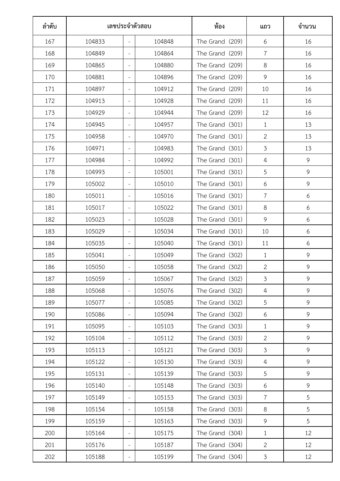| ลำดับ | เลขประจำตัวสอบ |                          |        | ท้อง            | แถว            | จำนวน |
|-------|----------------|--------------------------|--------|-----------------|----------------|-------|
| 167   | 104833         | $\equiv$                 | 104848 | The Grand (209) | 6              | 16    |
| 168   | 104849         | $\overline{\phantom{a}}$ | 104864 | The Grand (209) | $\overline{7}$ | 16    |
| 169   | 104865         | $\overline{\phantom{a}}$ | 104880 | The Grand (209) | 8              | 16    |
| 170   | 104881         | $\overline{\phantom{a}}$ | 104896 | The Grand (209) | 9              | 16    |
| 171   | 104897         | $\overline{\phantom{a}}$ | 104912 | The Grand (209) | 10             | 16    |
| 172   | 104913         | $\overline{\phantom{a}}$ | 104928 | The Grand (209) | 11             | 16    |
| 173   | 104929         | $\overline{\phantom{a}}$ | 104944 | The Grand (209) | 12             | 16    |
| 174   | 104945         | $\sim$                   | 104957 | The Grand (301) | $\mathbf{1}$   | 13    |
| 175   | 104958         | $\overline{\phantom{a}}$ | 104970 | The Grand (301) | $\overline{2}$ | 13    |
| 176   | 104971         | $\overline{\phantom{a}}$ | 104983 | The Grand (301) | $\mathfrak{Z}$ | 13    |
| 177   | 104984         | $\overline{\phantom{a}}$ | 104992 | The Grand (301) | 4              | 9     |
| 178   | 104993         | $\overline{\phantom{a}}$ | 105001 | The Grand (301) | 5              | 9     |
| 179   | 105002         | $\overline{\phantom{a}}$ | 105010 | The Grand (301) | 6              | 9     |
| 180   | 105011         | $\overline{\phantom{a}}$ | 105016 | The Grand (301) | $\overline{7}$ | 6     |
| 181   | 105017         | $\overline{\phantom{a}}$ | 105022 | The Grand (301) | 8              | 6     |
| 182   | 105023         | $\overline{\phantom{a}}$ | 105028 | The Grand (301) | 9              | 6     |
| 183   | 105029         | $\overline{\phantom{a}}$ | 105034 | The Grand (301) | 10             | 6     |
| 184   | 105035         | $\overline{\phantom{a}}$ | 105040 | The Grand (301) | 11             | 6     |
| 185   | 105041         | $\overline{\phantom{a}}$ | 105049 | The Grand (302) | $\mathbf{1}$   | 9     |
| 186   | 105050         | $\overline{\phantom{a}}$ | 105058 | The Grand (302) | $\overline{2}$ | 9     |
| 187   | 105059         | $\overline{\phantom{a}}$ | 105067 | The Grand (302) | $\mathfrak{Z}$ | 9     |
| 188   | 105068         | $\overline{\phantom{a}}$ | 105076 | The Grand (302) | $\overline{4}$ | 9     |
| 189   | 105077         | $\overline{\phantom{a}}$ | 105085 | The Grand (302) | 5              | 9     |
| 190   | 105086         | $\overline{\phantom{a}}$ | 105094 | The Grand (302) | 6              | 9     |
| 191   | 105095         | $\overline{\phantom{a}}$ | 105103 | The Grand (303) | $\mathbf{1}$   | 9     |
| 192   | 105104         | $\overline{\phantom{a}}$ | 105112 | The Grand (303) | $\overline{2}$ | 9     |
| 193   | 105113         | $\overline{\phantom{a}}$ | 105121 | The Grand (303) | $\mathfrak{Z}$ | 9     |
| 194   | 105122         | $\overline{\phantom{a}}$ | 105130 | The Grand (303) | $\overline{4}$ | 9     |
| 195   | 105131         | $\overline{\phantom{a}}$ | 105139 | The Grand (303) | 5              | 9     |
| 196   | 105140         | $\overline{\phantom{a}}$ | 105148 | The Grand (303) | 6              | 9     |
| 197   | 105149         | $\overline{\phantom{a}}$ | 105153 | The Grand (303) | $\overline{7}$ | 5     |
| 198   | 105154         | $\overline{\phantom{a}}$ | 105158 | The Grand (303) | 8              | 5     |
| 199   | 105159         | $\overline{\phantom{a}}$ | 105163 | The Grand (303) | 9              | 5     |
| 200   | 105164         | $\overline{\phantom{a}}$ | 105175 | The Grand (304) | $\mathbf{1}$   | 12    |
| 201   | 105176         | $\overline{\phantom{a}}$ | 105187 | The Grand (304) | $\overline{2}$ | 12    |
| 202   | 105188         | $\overline{\phantom{a}}$ | 105199 | The Grand (304) | $\mathfrak{Z}$ | 12    |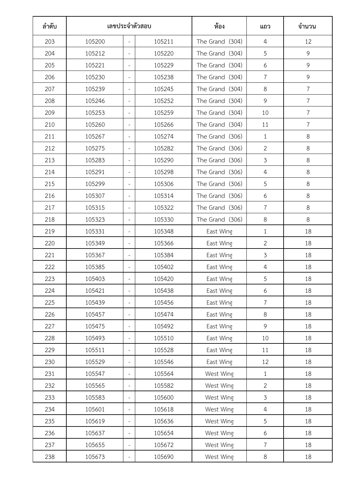| ลำดับ | เลขประจำตัวสอบ |                          |        | ท้อง            | แถว            | จำนวน          |
|-------|----------------|--------------------------|--------|-----------------|----------------|----------------|
| 203   | 105200         | $\overline{\phantom{a}}$ | 105211 | The Grand (304) | $\overline{4}$ | 12             |
| 204   | 105212         | $\overline{\phantom{a}}$ | 105220 | The Grand (304) | 5              | 9              |
| 205   | 105221         | $\overline{\phantom{a}}$ | 105229 | The Grand (304) | 6              | 9              |
| 206   | 105230         | $\overline{\phantom{a}}$ | 105238 | The Grand (304) | $\overline{7}$ | 9              |
| 207   | 105239         | $\overline{\phantom{a}}$ | 105245 | The Grand (304) | 8              | $\overline{7}$ |
| 208   | 105246         | $\overline{\phantom{a}}$ | 105252 | The Grand (304) | 9              | $\overline{7}$ |
| 209   | 105253         | $\overline{\phantom{a}}$ | 105259 | The Grand (304) | 10             | $\overline{7}$ |
| 210   | 105260         | $\overline{\phantom{a}}$ | 105266 | The Grand (304) | 11             | $\overline{7}$ |
| 211   | 105267         | $\sim$                   | 105274 | The Grand (306) | $\mathbf{1}$   | 8              |
| 212   | 105275         | $\overline{\phantom{a}}$ | 105282 | The Grand (306) | $\overline{2}$ | 8              |
| 213   | 105283         | $\overline{\phantom{a}}$ | 105290 | The Grand (306) | $\mathfrak{Z}$ | $8\,$          |
| 214   | 105291         | $\overline{\phantom{a}}$ | 105298 | The Grand (306) | $\overline{4}$ | 8              |
| 215   | 105299         | $\overline{\phantom{a}}$ | 105306 | The Grand (306) | 5              | 8              |
| 216   | 105307         | $\overline{\phantom{a}}$ | 105314 | The Grand (306) | 6              | 8              |
| 217   | 105315         | $\overline{\phantom{a}}$ | 105322 | The Grand (306) | $\overline{7}$ | 8              |
| 218   | 105323         | $\overline{\phantom{a}}$ | 105330 | The Grand (306) | 8              | 8              |
| 219   | 105331         | $\overline{\phantom{a}}$ | 105348 | East Wing       | $\mathbf{1}$   | 18             |
| 220   | 105349         | $\overline{\phantom{a}}$ | 105366 | East Wing       | $\overline{2}$ | 18             |
| 221   | 105367         | $\overline{\phantom{a}}$ | 105384 | East Wing       | $\mathfrak{Z}$ | 18             |
| 222   | 105385         | $\qquad \qquad -$        | 105402 | East Wing       | $\sqrt{4}$     | 18             |
| 223   | 105403         | $\bar{ }$                | 105420 | East Wing       | 5              | 18             |
| 224   | 105421         | $\bar{ }$                | 105438 | East Wing       | 6              | 18             |
| 225   | 105439         | $\sim$                   | 105456 | East Wing       | $\overline{7}$ | 18             |
| 226   | 105457         | $\overline{\phantom{a}}$ | 105474 | East Wing       | 8              | 18             |
| 227   | 105475         | $\equiv$                 | 105492 | East Wing       | 9              | 18             |
| 228   | 105493         | $\bar{ }$                | 105510 | East Wing       | 10             | 18             |
| 229   | 105511         | $\overline{\phantom{a}}$ | 105528 | East Wing       | 11             | 18             |
| 230   | 105529         | $\overline{\phantom{a}}$ | 105546 | East Wing       | 12             | 18             |
| 231   | 105547         | $\overline{\phantom{a}}$ | 105564 | West Wing       | $\mathbf{1}$   | 18             |
| 232   | 105565         | $\overline{\phantom{a}}$ | 105582 | West Wing       | $\overline{2}$ | 18             |
| 233   | 105583         | $\overline{\phantom{a}}$ | 105600 | West Wing       | $\mathfrak{Z}$ | 18             |
| 234   | 105601         | $\overline{\phantom{a}}$ | 105618 | West Wing       | $\overline{4}$ | 18             |
| 235   | 105619         | $\overline{\phantom{a}}$ | 105636 | West Wing       | 5              | 18             |
| 236   | 105637         | $\overline{\phantom{a}}$ | 105654 | West Wing       | 6              | 18             |
| 237   | 105655         | $\overline{\phantom{a}}$ | 105672 | West Wing       | $\overline{7}$ | 18             |
| 238   | 105673         | $\overline{\phantom{a}}$ | 105690 | West Wing       | 8              | 18             |